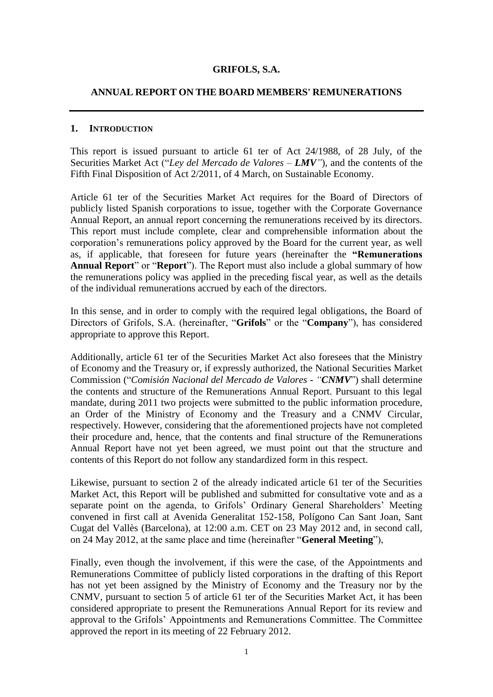### **GRIFOLS, S.A.**

#### **ANNUAL REPORT ON THE BOARD MEMBERS' REMUNERATIONS**

#### **1. INTRODUCTION**

This report is issued pursuant to article 61 ter of Act 24/1988, of 28 July, of the Securities Market Act ("*Ley del Mercado de Valores – LMV"*), and the contents of the Fifth Final Disposition of Act 2/2011, of 4 March, on Sustainable Economy.

Article 61 ter of the Securities Market Act requires for the Board of Directors of publicly listed Spanish corporations to issue, together with the Corporate Governance Annual Report, an annual report concerning the remunerations received by its directors. This report must include complete, clear and comprehensible information about the corporation's remunerations policy approved by the Board for the current year, as well as, if applicable, that foreseen for future years (hereinafter the **"Remunerations Annual Report**" or "**Report**"). The Report must also include a global summary of how the remunerations policy was applied in the preceding fiscal year, as well as the details of the individual remunerations accrued by each of the directors.

In this sense, and in order to comply with the required legal obligations, the Board of Directors of Grifols, S.A. (hereinafter, "**Grifols**" or the "**Company**"), has considered appropriate to approve this Report.

Additionally, article 61 ter of the Securities Market Act also foresees that the Ministry of Economy and the Treasury or, if expressly authorized, the National Securities Market Commission ("*Comisión Nacional del Mercado de Valores - "CNMV*") shall determine the contents and structure of the Remunerations Annual Report. Pursuant to this legal mandate, during 2011 two projects were submitted to the public information procedure, an Order of the Ministry of Economy and the Treasury and a CNMV Circular, respectively. However, considering that the aforementioned projects have not completed their procedure and, hence, that the contents and final structure of the Remunerations Annual Report have not yet been agreed, we must point out that the structure and contents of this Report do not follow any standardized form in this respect.

Likewise, pursuant to section 2 of the already indicated article 61 ter of the Securities Market Act, this Report will be published and submitted for consultative vote and as a separate point on the agenda, to Grifols' Ordinary General Shareholders' Meeting convened in first call at Avenida Generalitat 152-158, Polígono Can Sant Joan, Sant Cugat del Vallès (Barcelona), at 12:00 a.m. CET on 23 May 2012 and, in second call, on 24 May 2012, at the same place and time (hereinafter "**General Meeting**"),

Finally, even though the involvement, if this were the case, of the Appointments and Remunerations Committee of publicly listed corporations in the drafting of this Report has not yet been assigned by the Ministry of Economy and the Treasury nor by the CNMV, pursuant to section 5 of article 61 ter of the Securities Market Act, it has been considered appropriate to present the Remunerations Annual Report for its review and approval to the Grifols' Appointments and Remunerations Committee. The Committee approved the report in its meeting of 22 February 2012.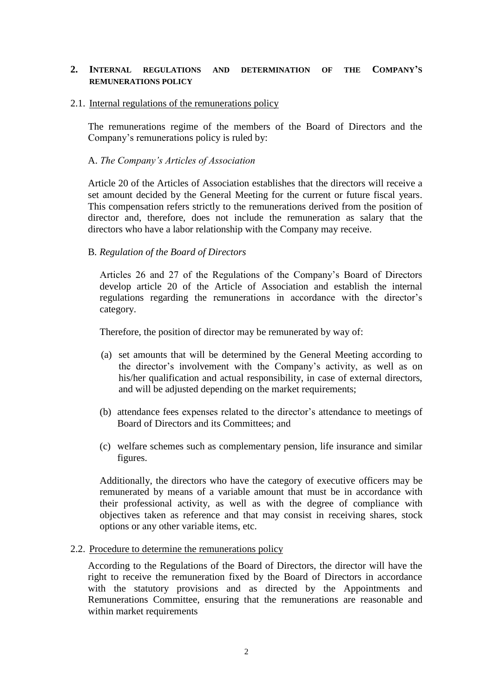## **2. INTERNAL REGULATIONS AND DETERMINATION OF THE COMPANY'S REMUNERATIONS POLICY**

### 2.1. Internal regulations of the remunerations policy

The remunerations regime of the members of the Board of Directors and the Company's remunerations policy is ruled by:

## A. *The Company's Articles of Association*

Article 20 of the Articles of Association establishes that the directors will receive a set amount decided by the General Meeting for the current or future fiscal years. This compensation refers strictly to the remunerations derived from the position of director and, therefore, does not include the remuneration as salary that the directors who have a labor relationship with the Company may receive.

#### B*. Regulation of the Board of Directors*

Articles 26 and 27 of the Regulations of the Company's Board of Directors develop article 20 of the Article of Association and establish the internal regulations regarding the remunerations in accordance with the director's category.

Therefore, the position of director may be remunerated by way of:

- (a) set amounts that will be determined by the General Meeting according to the director's involvement with the Company's activity, as well as on his/her qualification and actual responsibility, in case of external directors, and will be adjusted depending on the market requirements;
- (b) attendance fees expenses related to the director's attendance to meetings of Board of Directors and its Committees; and
- (c) welfare schemes such as complementary pension, life insurance and similar figures.

Additionally, the directors who have the category of executive officers may be remunerated by means of a variable amount that must be in accordance with their professional activity, as well as with the degree of compliance with objectives taken as reference and that may consist in receiving shares, stock options or any other variable items, etc.

#### 2.2. Procedure to determine the remunerations policy

According to the Regulations of the Board of Directors, the director will have the right to receive the remuneration fixed by the Board of Directors in accordance with the statutory provisions and as directed by the Appointments and Remunerations Committee, ensuring that the remunerations are reasonable and within market requirements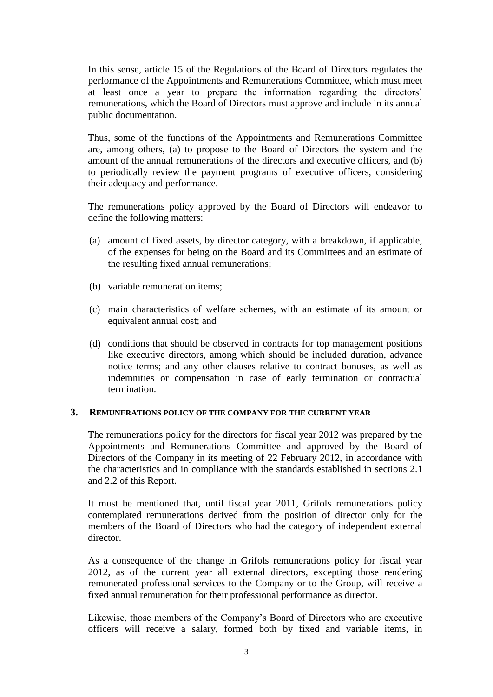In this sense, article 15 of the Regulations of the Board of Directors regulates the performance of the Appointments and Remunerations Committee, which must meet at least once a year to prepare the information regarding the directors' remunerations, which the Board of Directors must approve and include in its annual public documentation.

Thus, some of the functions of the Appointments and Remunerations Committee are, among others, (a) to propose to the Board of Directors the system and the amount of the annual remunerations of the directors and executive officers, and (b) to periodically review the payment programs of executive officers, considering their adequacy and performance.

The remunerations policy approved by the Board of Directors will endeavor to define the following matters:

- (a) amount of fixed assets, by director category, with a breakdown, if applicable, of the expenses for being on the Board and its Committees and an estimate of the resulting fixed annual remunerations;
- (b) variable remuneration items;
- (c) main characteristics of welfare schemes, with an estimate of its amount or equivalent annual cost; and
- (d) conditions that should be observed in contracts for top management positions like executive directors, among which should be included duration, advance notice terms; and any other clauses relative to contract bonuses, as well as indemnities or compensation in case of early termination or contractual termination.

## **3. REMUNERATIONS POLICY OF THE COMPANY FOR THE CURRENT YEAR**

The remunerations policy for the directors for fiscal year 2012 was prepared by the Appointments and Remunerations Committee and approved by the Board of Directors of the Company in its meeting of 22 February 2012, in accordance with the characteristics and in compliance with the standards established in sections 2.1 and 2.2 of this Report.

It must be mentioned that, until fiscal year 2011, Grifols remunerations policy contemplated remunerations derived from the position of director only for the members of the Board of Directors who had the category of independent external director.

As a consequence of the change in Grifols remunerations policy for fiscal year 2012, as of the current year all external directors, excepting those rendering remunerated professional services to the Company or to the Group, will receive a fixed annual remuneration for their professional performance as director.

Likewise, those members of the Company's Board of Directors who are executive officers will receive a salary, formed both by fixed and variable items, in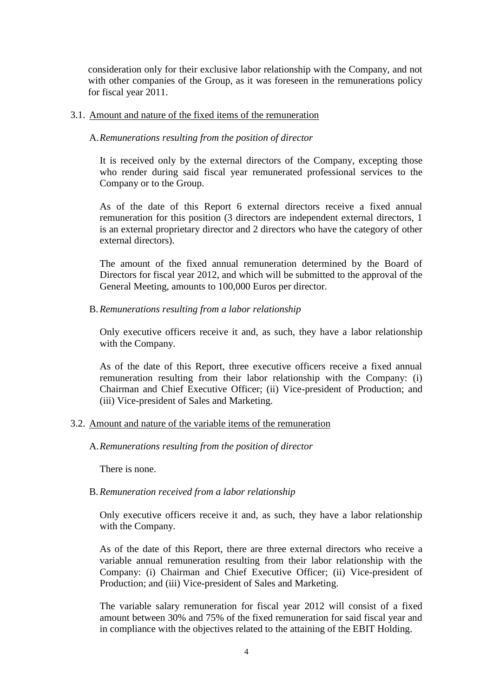consideration only for their exclusive labor relationship with the Company, and not with other companies of the Group, as it was foreseen in the remunerations policy for fiscal year 2011.

## 3.1. Amount and nature of the fixed items of the remuneration

#### A.*Remunerations resulting from the position of director*

It is received only by the external directors of the Company, excepting those who render during said fiscal year remunerated professional services to the Company or to the Group.

As of the date of this Report 6 external directors receive a fixed annual remuneration for this position (3 directors are independent external directors, 1 is an external proprietary director and 2 directors who have the category of other external directors).

The amount of the fixed annual remuneration determined by the Board of Directors for fiscal year 2012, and which will be submitted to the approval of the General Meeting, amounts to 100,000 Euros per director.

#### B.*Remunerations resulting from a labor relationship*

Only executive officers receive it and, as such, they have a labor relationship with the Company.

As of the date of this Report, three executive officers receive a fixed annual remuneration resulting from their labor relationship with the Company: (i) Chairman and Chief Executive Officer; (ii) Vice-president of Production; and (iii) Vice-president of Sales and Marketing.

## 3.2. Amount and nature of the variable items of the remuneration

## A.*Remunerations resulting from the position of director*

There is none.

## B.*Remuneration received from a labor relationship*

Only executive officers receive it and, as such, they have a labor relationship with the Company.

As of the date of this Report, there are three external directors who receive a variable annual remuneration resulting from their labor relationship with the Company: (i) Chairman and Chief Executive Officer; (ii) Vice-president of Production; and (iii) Vice-president of Sales and Marketing.

The variable salary remuneration for fiscal year 2012 will consist of a fixed amount between 30% and 75% of the fixed remuneration for said fiscal year and in compliance with the objectives related to the attaining of the EBIT Holding.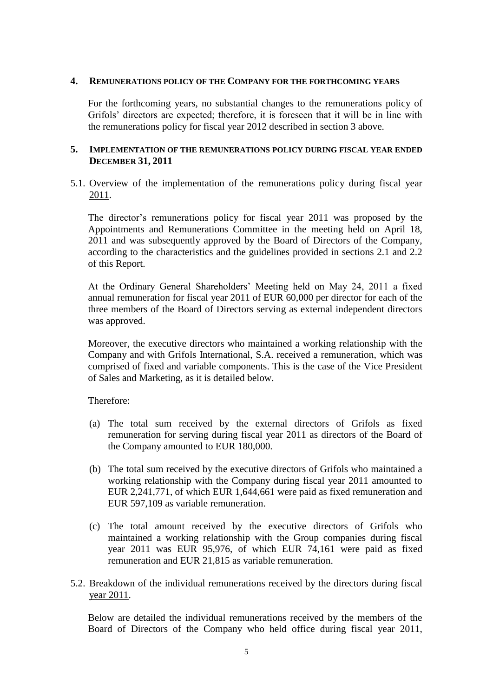#### **4. REMUNERATIONS POLICY OF THE COMPANY FOR THE FORTHCOMING YEARS**

For the forthcoming years, no substantial changes to the remunerations policy of Grifols' directors are expected; therefore, it is foreseen that it will be in line with the remunerations policy for fiscal year 2012 described in section 3 above.

## **5. IMPLEMENTATION OF THE REMUNERATIONS POLICY DURING FISCAL YEAR ENDED DECEMBER 31, 2011**

## 5.1. Overview of the implementation of the remunerations policy during fiscal year 2011.

The director's remunerations policy for fiscal year 2011 was proposed by the Appointments and Remunerations Committee in the meeting held on April 18, 2011 and was subsequently approved by the Board of Directors of the Company, according to the characteristics and the guidelines provided in sections 2.1 and 2.2 of this Report.

At the Ordinary General Shareholders' Meeting held on May 24, 2011 a fixed annual remuneration for fiscal year 2011 of EUR 60,000 per director for each of the three members of the Board of Directors serving as external independent directors was approved.

Moreover, the executive directors who maintained a working relationship with the Company and with Grifols International, S.A. received a remuneration, which was comprised of fixed and variable components. This is the case of the Vice President of Sales and Marketing, as it is detailed below.

Therefore:

- (a) The total sum received by the external directors of Grifols as fixed remuneration for serving during fiscal year 2011 as directors of the Board of the Company amounted to EUR 180,000.
- (b) The total sum received by the executive directors of Grifols who maintained a working relationship with the Company during fiscal year 2011 amounted to EUR 2,241,771, of which EUR 1,644,661 were paid as fixed remuneration and EUR 597,109 as variable remuneration.
- (c) The total amount received by the executive directors of Grifols who maintained a working relationship with the Group companies during fiscal year 2011 was EUR 95,976, of which EUR 74,161 were paid as fixed remuneration and EUR 21,815 as variable remuneration.
- 5.2. Breakdown of the individual remunerations received by the directors during fiscal year 2011.

Below are detailed the individual remunerations received by the members of the Board of Directors of the Company who held office during fiscal year 2011,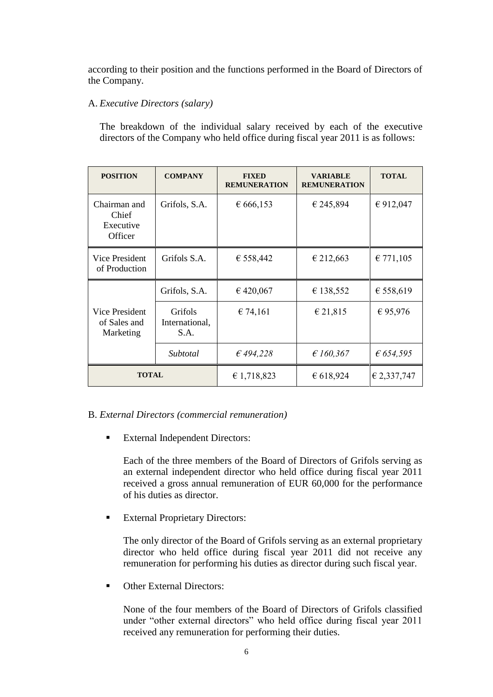according to their position and the functions performed in the Board of Directors of the Company.

# A. *Executive Directors (salary)*

The breakdown of the individual salary received by each of the executive directors of the Company who held office during fiscal year 2011 is as follows:

| <b>POSITION</b>                               | <b>COMPANY</b>                    | <b>FIXED</b><br><b>REMUNERATION</b> | <b>VARIABLE</b><br><b>REMUNERATION</b> | <b>TOTAL</b>       |
|-----------------------------------------------|-----------------------------------|-------------------------------------|----------------------------------------|--------------------|
| Chairman and<br>Chief<br>Executive<br>Officer | Grifols, S.A.                     | € 666,153                           | € 245,894                              | € 912,047          |
| Vice President<br>of Production               | Grifols S.A.                      | € 558,442                           | € 212,663                              | € 771,105          |
| Vice President<br>of Sales and<br>Marketing   | Grifols, S.A.                     | € 420,067                           | € 138,552                              | € 558,619          |
|                                               | Grifols<br>International,<br>S.A. | € 74,161                            | € 21,815                               | €95,976            |
|                                               | Subtotal                          | £494,228                            | £160,367                               | $\epsilon$ 654,595 |
| <b>TOTAL</b>                                  |                                   | € 1,718,823                         | € 618,924                              | € 2,337,747        |

## B. *External Directors (commercial remuneration)*

**External Independent Directors:** 

Each of the three members of the Board of Directors of Grifols serving as an external independent director who held office during fiscal year 2011 received a gross annual remuneration of EUR 60,000 for the performance of his duties as director.

**External Proprietary Directors:** 

The only director of the Board of Grifols serving as an external proprietary director who held office during fiscal year 2011 did not receive any remuneration for performing his duties as director during such fiscal year.

**C**ther External Directors:

None of the four members of the Board of Directors of Grifols classified under "other external directors" who held office during fiscal year 2011 received any remuneration for performing their duties.